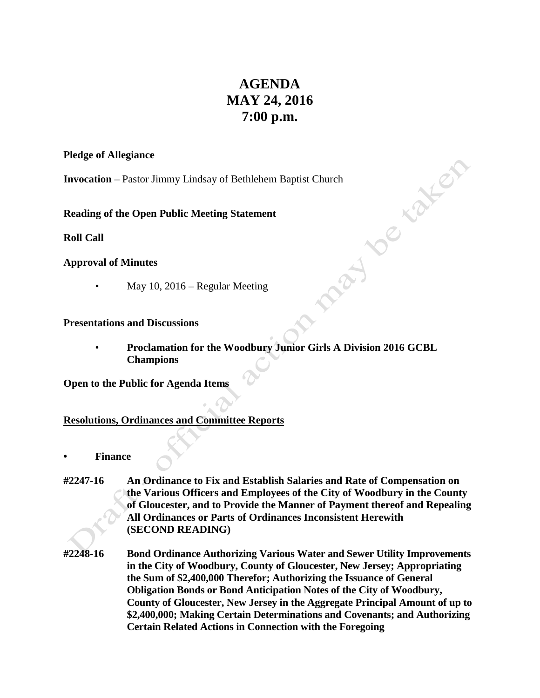# **AGENDA MAY 24, 2016 7:00 p.m.**

J TO Kata

### **Pledge of Allegiance**

**Invocation** – Pastor Jimmy Lindsay of Bethlehem Baptist Church

**Reading of the Open Public Meeting Statement**

**Roll Call**

# **Approval of Minutes**

• May 10, 2016 – Regular Meeting

## **Presentations and Discussions**

• **Proclamation for the Woodbury Junior Girls A Division 2016 GCBL Champions**

**Open to the Public for Agenda Items**

# **Resolutions, Ordinances and Committee Reports**

- **• Finance**
- **#2247-16 An Ordinance to Fix and Establish Salaries and Rate of Compensation on the Various Officers and Employees of the City of Woodbury in the County of Gloucester, and to Provide the Manner of Payment thereof and Repealing All Ordinances or Parts of Ordinances Inconsistent Herewith (SECOND READING)**
- **#2248-16 Bond Ordinance Authorizing Various Water and Sewer Utility Improvements in the City of Woodbury, County of Gloucester, New Jersey; Appropriating the Sum of \$2,400,000 Therefor; Authorizing the Issuance of General Obligation Bonds or Bond Anticipation Notes of the City of Woodbury, County of Gloucester, New Jersey in the Aggregate Principal Amount of up to \$2,400,000; Making Certain Determinations and Covenants; and Authorizing Certain Related Actions in Connection with the Foregoing**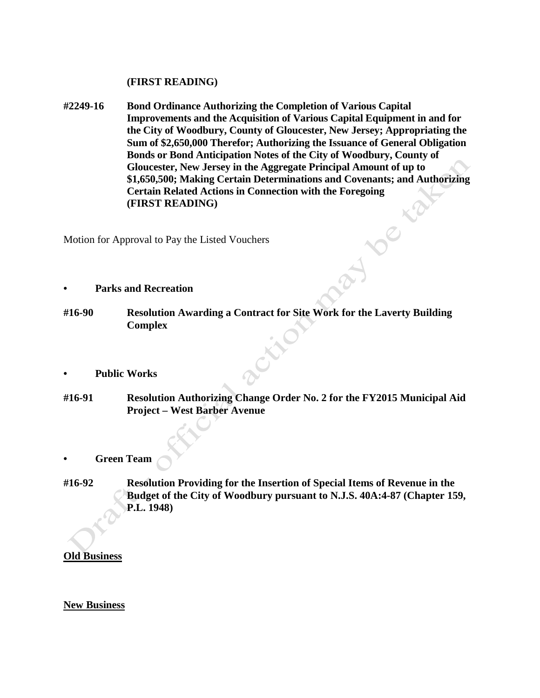#### **(FIRST READING)**

**#2249-16 Bond Ordinance Authorizing the Completion of Various Capital Improvements and the Acquisition of Various Capital Equipment in and for the City of Woodbury, County of Gloucester, New Jersey; Appropriating the Sum of \$2,650,000 Therefor; Authorizing the Issuance of General Obligation Bonds or Bond Anticipation Notes of the City of Woodbury, County of Gloucester, New Jersey in the Aggregate Principal Amount of up to \$1,650,500; Making Certain Determinations and Covenants; and Authorizing Certain Related Actions in Connection with the Foregoing (FIRST READING)**

Motion for Approval to Pay the Listed Vouchers

- **• Parks and Recreation**
- **#16-90 Resolution Awarding a Contract for Site Work for the Laverty Building Complex**
- **• Public Works**
- **#16-91 Resolution Authorizing Change Order No. 2 for the FY2015 Municipal Aid Project – West Barber Avenue**
- **• Green Team**
- **#16-92 Resolution Providing for the Insertion of Special Items of Revenue in the Budget of the City of Woodbury pursuant to N.J.S. 40A:4-87 (Chapter 159, P.L. 1948)**

## **Old Business**

#### **New Business**